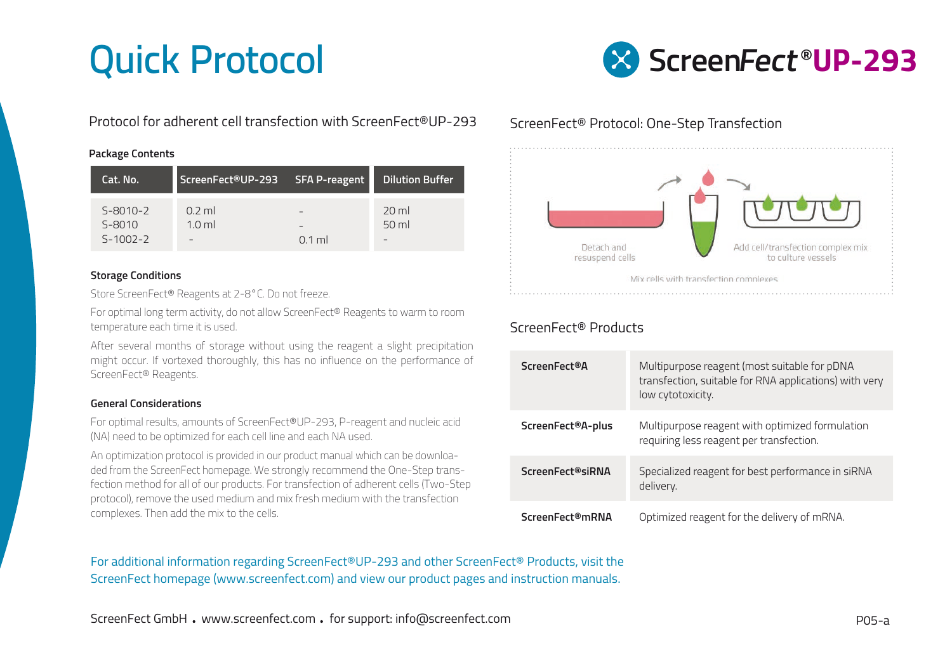## Quick Protocol



Protocol for adherent cell transfection with ScreenFect®UP-293

### **Package Contents**

| Cat. No.               | ScreenFect®UP-293            | <b>SFA P-reagent</b> | <b>Dilution Buffer</b>     |
|------------------------|------------------------------|----------------------|----------------------------|
| $S-8010-2$<br>$S-8010$ | $0.2$ ml<br>1.0 <sub>m</sub> | -                    | 20 <sub>m</sub><br>$50$ ml |
| $5 - 1002 - 2$         | -                            | $0.1$ ml             |                            |

### **Storage Conditions**

Store ScreenFect® Reagents at 2-8°C. Do not freeze.

For optimal long term activity, do not allow ScreenFect® Reagents to warm to room temperature each time it is used.

After several months of storage without using the reagent a slight precipitation might occur. If vortexed thoroughly, this has no influence on the performance of ScreenFect® Reagents.

### **General Considerations**

For optimal results, amounts of ScreenFect®UP-293, P-reagent and nucleic acid (NA) need to be optimized for each cell line and each NA used.

An optimization protocol is provided in our product manual which can be downloaded from the ScreenFect homepage. We strongly recommend the One-Step transfection method for all of our products. For transfection of adherent cells (Two-Step protocol), remove the used medium and mix fresh medium with the transfection complexes. Then add the mix to the cells.

ScreenFect® Protocol: One-Step Transfection



## ScreenFect® Products

| <b>ScreenFect®A</b> | Multipurpose reagent (most suitable for pDNA<br>transfection, suitable for RNA applications) with very<br>low cytotoxicity. |
|---------------------|-----------------------------------------------------------------------------------------------------------------------------|
| ScreenFect®A-plus   | Multipurpose reagent with optimized formulation<br>requiring less reagent per transfection.                                 |
| ScreenFect®siRNA    | Specialized reagent for best performance in siRNA<br>delivery.                                                              |
| ScreenFect®mRNA     | Optimized reagent for the delivery of mRNA.                                                                                 |

For additional information regarding ScreenFect®UP-293 and other ScreenFect® Products, visit the ScreenFect homepage (www.screenfect.com) and view our product pages and instruction manuals.

ScreenFect GmbH . www.screenfect.com . for support: info@screenfect.com